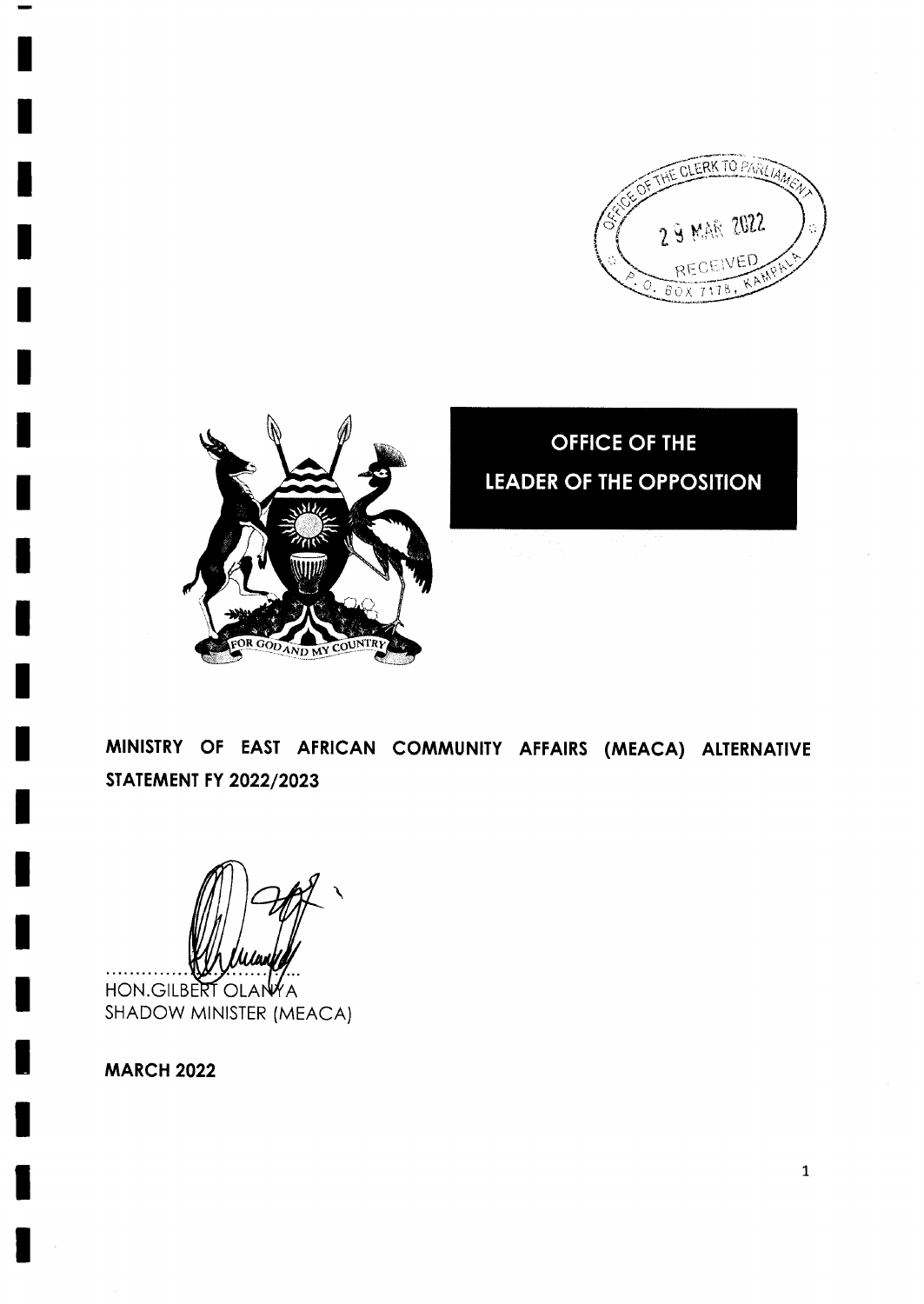



**OFFICE OF THE LEADER OF THE OPPOSITION** 

MINISTRY OF EAST AFRICAN COMMUNITY AFFAIRS (MEACA) ALTERNATIVE **STATEMENT FY 2022/2023** 

HON.GILBERT OLANYA SHADOW MINISTER (MEACA)

**MARCH 2022**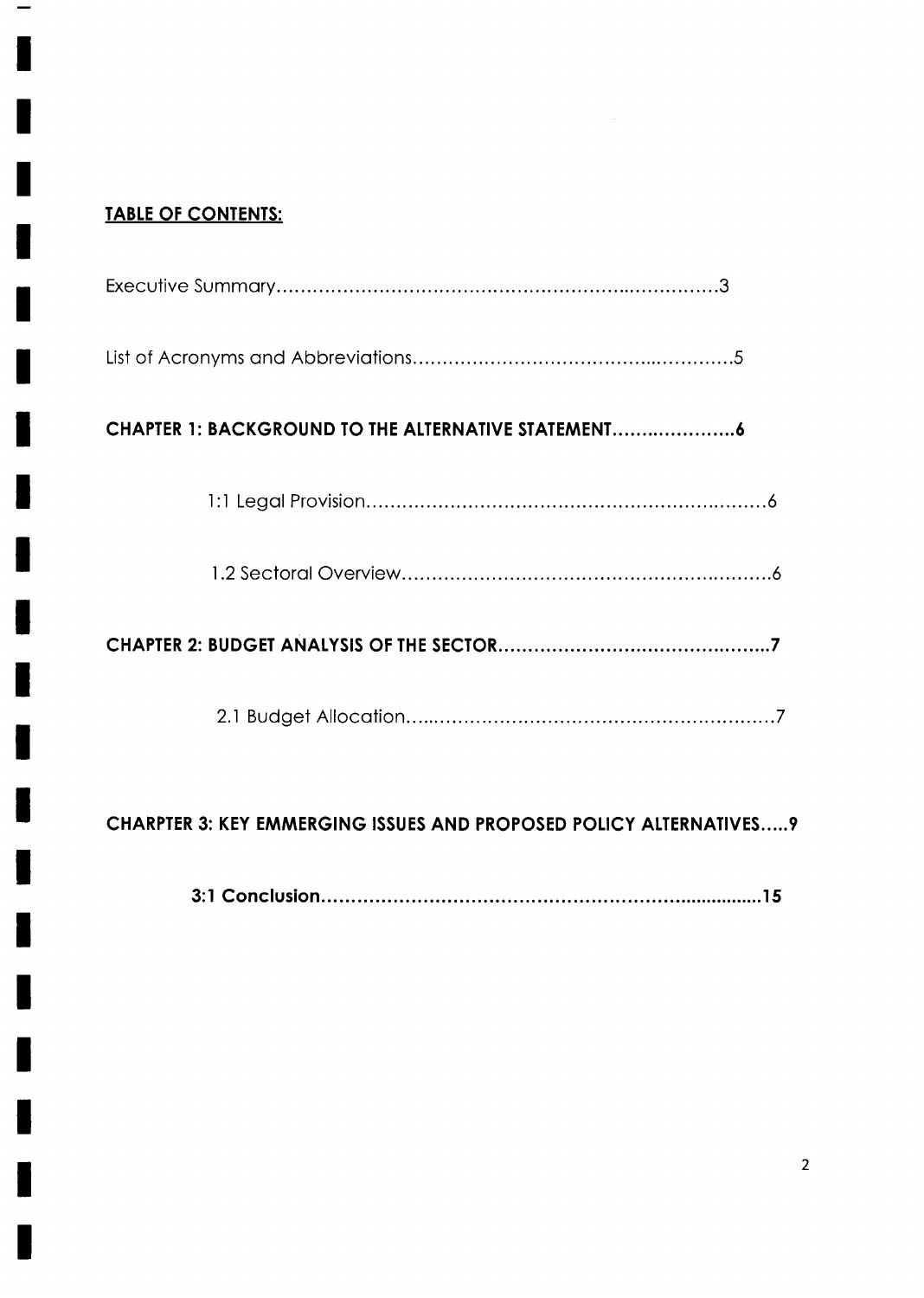# TABLE OF CONTENTS:

| CHAPTER 1: BACKGROUND TO THE ALTERNATIVE STATEMENT                       |
|--------------------------------------------------------------------------|
|                                                                          |
|                                                                          |
|                                                                          |
|                                                                          |
| <b>CHARPTER 3: KEY EMMERGING ISSUES AND PROPOSED POLICY ALTERNATIVES</b> |

3:l Conclusion l5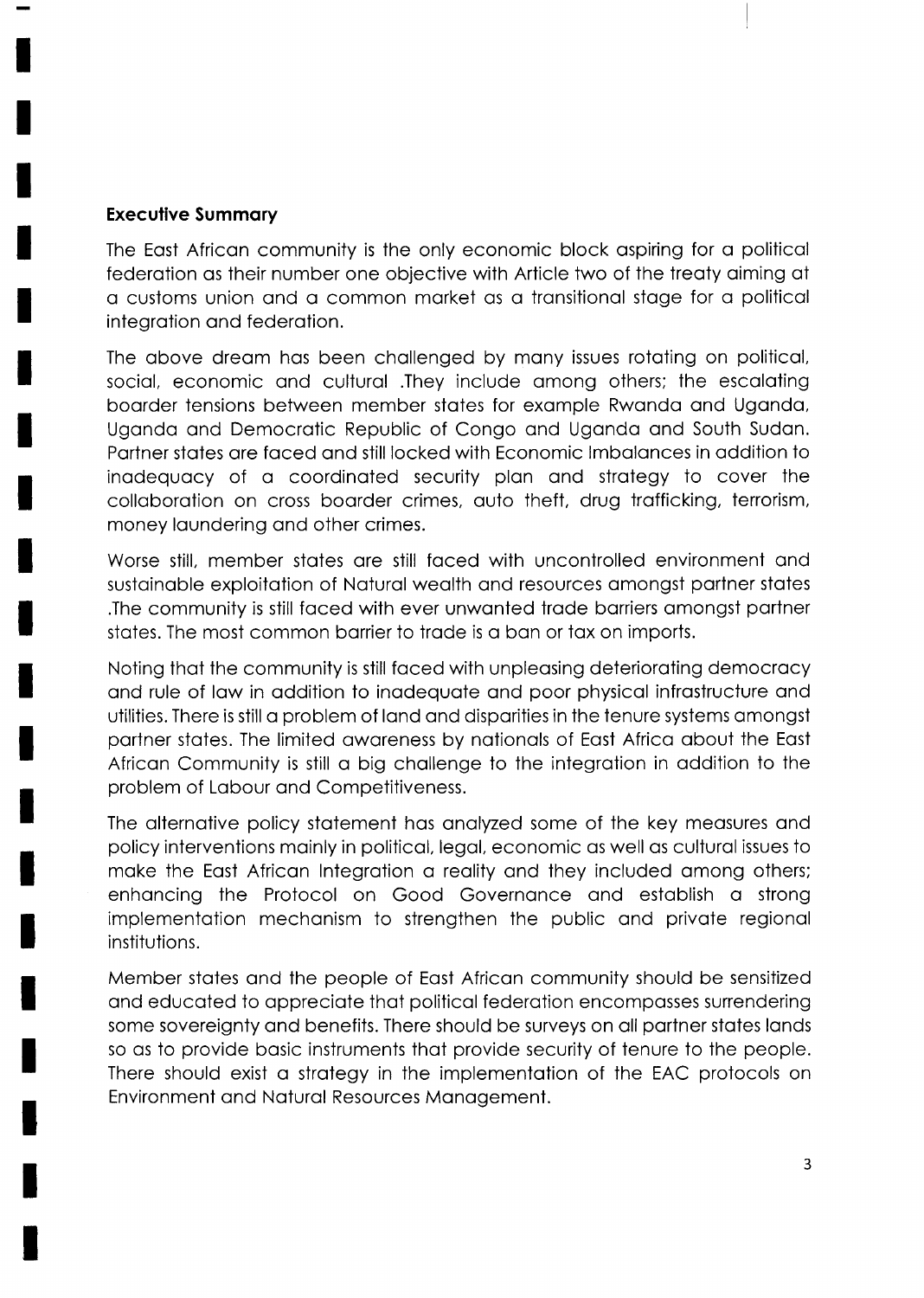### **Executive Summary**

The East African community is the only economic block aspiring for a political federation as their number one objective with Article two of the treaty aiming at a customs union and a common market as a transitional stage for a political integration and federation.

The above dream has been challenged by many issues rotating on political, social, economic and cultural .They include among others; the escalating boarder tensions between member states for example Rwanda and Uganda, Uganda and Democratic Republic of Congo and Uganda and South Sudan. Partner states are faced and still locked with Economic Imbalances in addition to inadequacy of a coordinated security plan and strategy to cover the collaboration on cross boarder crimes, auto theft, drug trafficking, terrorism, money laundering and other crimes.

Worse still, member states are still faced with uncontrolled environment and sustainable exploitation of Natural wealth and resources amongst partner states The community is still faced with ever unwanted trade barriers amongst partner states. The most common barrier to trade is a ban or tax on imports.

Noting that the community is still faced with unpleasing deteriorating democracy and rule of law in addition to inadequate and poor physical infrastructure and utilities. There is still a problem of land and disparities in the tenure systems amongst partner states. The limited awareness by nationals of East Africa about the East African Community is still a big challenge to the integration in addition to the problem of Labour and Competitiveness.

The alternative policy statement has analyzed some of the key measures and policy interventions mainly in political, legal, economic as well as cultural issues to make the East African Integration a reality and they included among others; enhancing the Protocol on Good Governance and establish a strong implementation mechanism to strengthen the public and private regional institutions.

Member states and the people of East African community should be sensitized and educated to appreciate that political federation encompasses surrendering some sovereignty and benefits. There should be surveys on all partner states lands so as to provide basic instruments that provide security of tenure to the people. There should exist a strategy in the implementation of the EAC protocols on Environment and Natural Resources Management.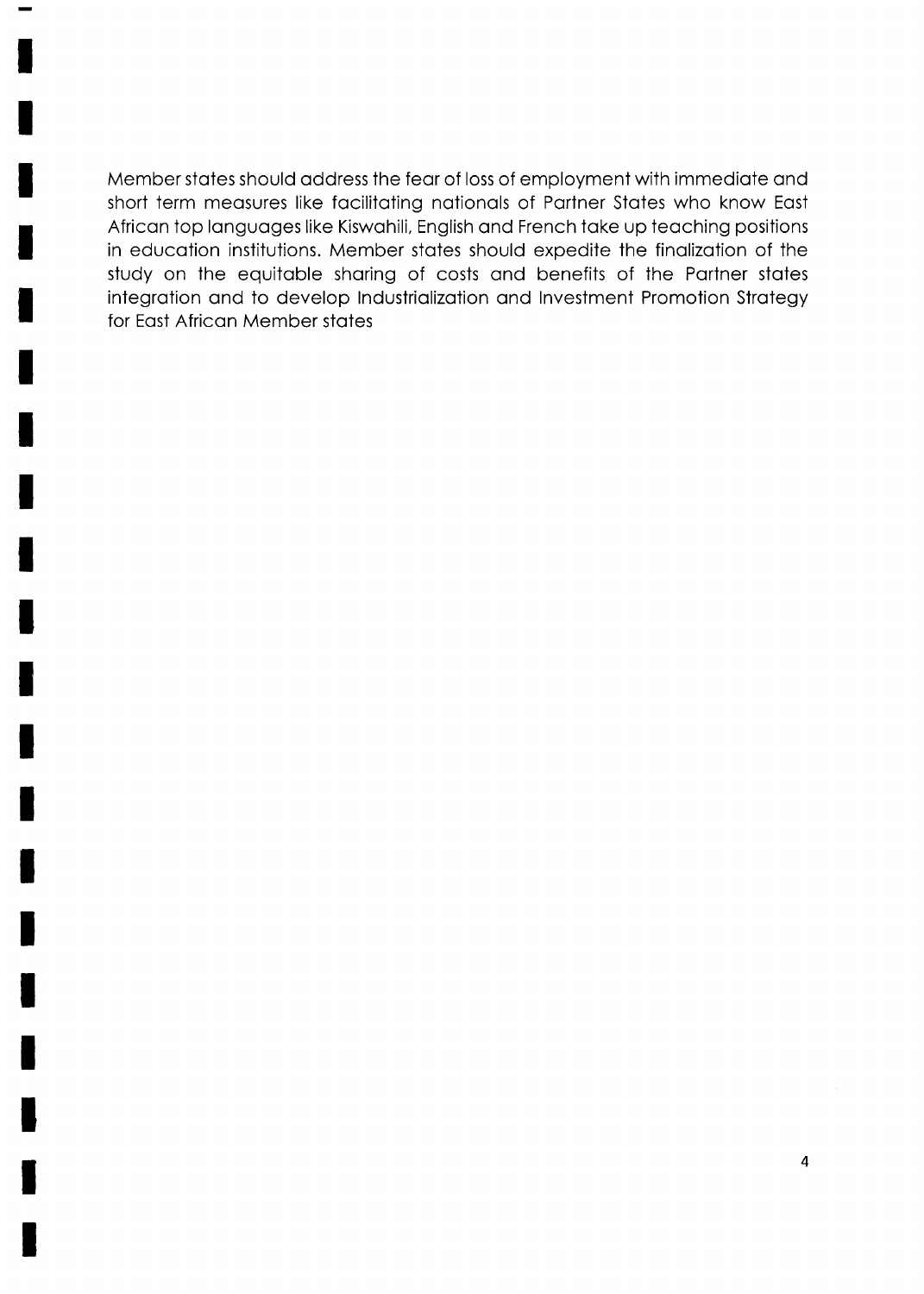Member stotes should oddress the feor of loss of employment with immediote ond short term meosures like focilitoting notionols of Portner Stotes who know Eost African top languages like Kiswahili, English and French take up teaching positions in educotion institutions. Member stotes should expedite the finolizotion of the study on the equitable sharing of costs and benefits of the Partner states integration and to develop Industrialization and Investment Promotion Strategy for Eost Africon Member stotes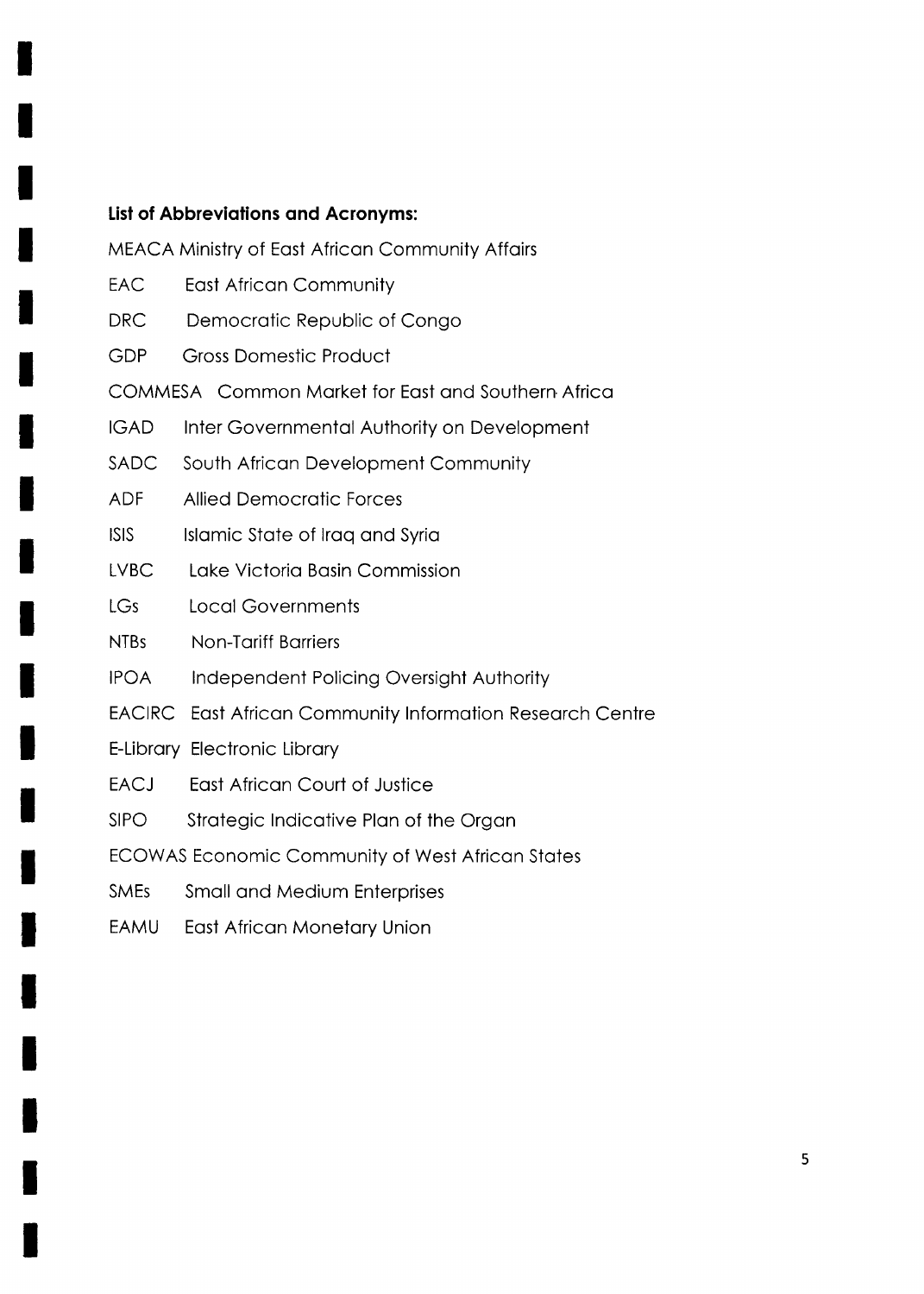### **List of Abbreviations and Acronyms:**

MEACA Ministry of East African Community Affairs

- **EAC East African Community**
- **DRC** Democratic Republic of Congo
- **GDP Gross Domestic Product**

COMMESA Common Market for East and Southern Africa

- **IGAD** Inter Governmental Authority on Development
- **SADC** South African Development Community
- **ADF Allied Democratic Forces**
- **ISIS** Islamic State of Iraq and Syria
- **LVBC** Lake Victoria Basin Commission
- LGs **Local Governments**
- NTBs **Non-Tariff Barriers**
- **IPOA** Independent Policing Oversight Authority
- EACIRC East African Community Information Research Centre
- E-Library Electronic Library
- **EACJ East African Court of Justice**
- **SIPO** Strategic Indicative Plan of the Organ
- ECOWAS Economic Community of West African States
- **SMEs Small and Medium Enterprises**
- EAMU East African Monetary Union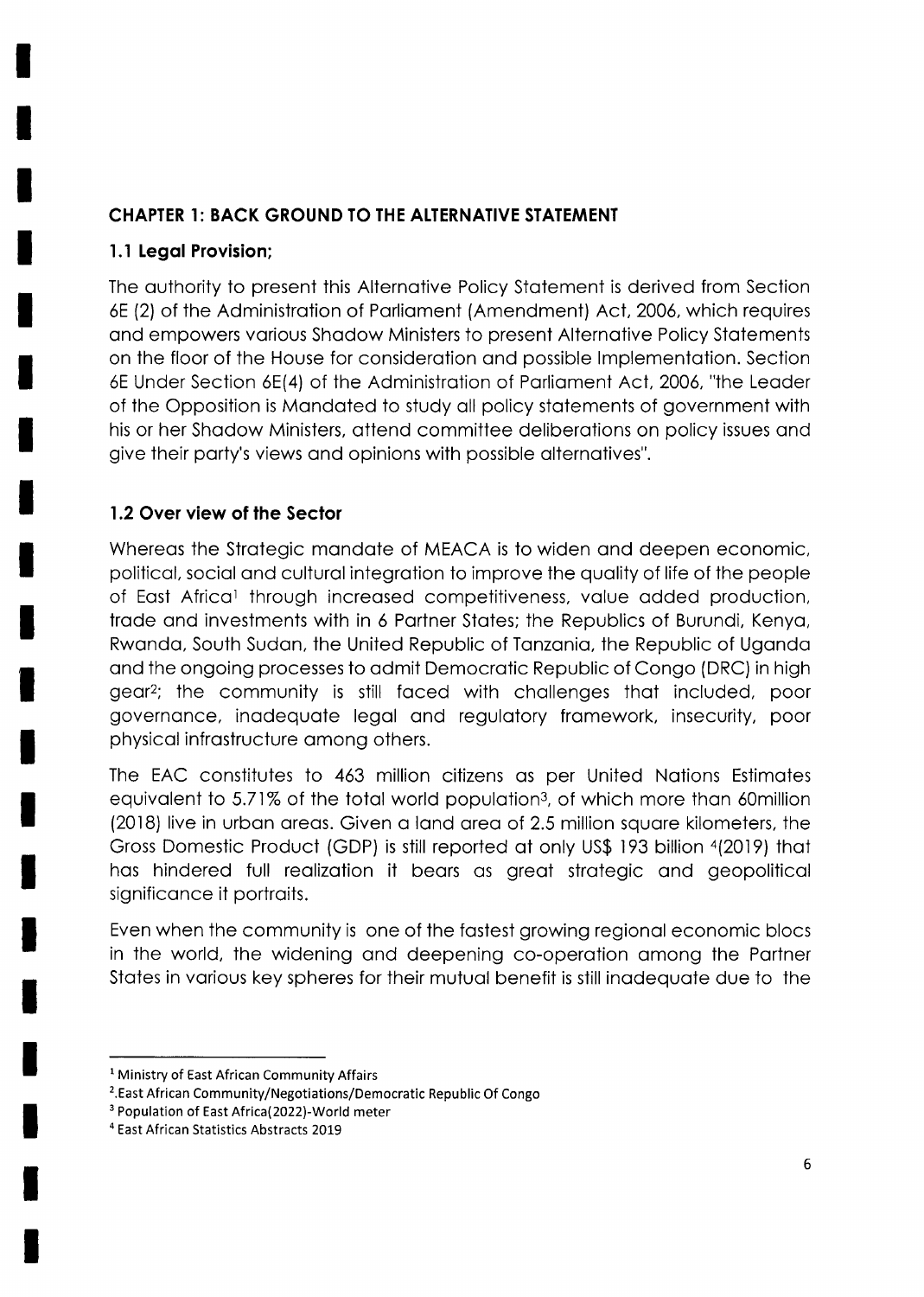# **CHAPTER 1: BACK GROUND TO THE ALTERNATIVE STATEMENT**

### 1.1 Legal Provision;

The authority to present this Alternative Policy Statement is derived from Section 6E (2) of the Administration of Parliament (Amendment) Act, 2006, which requires and empowers various Shadow Ministers to present Alternative Policy Statements on the floor of the House for consideration and possible Implementation. Section 6E Under Section 6E(4) of the Administration of Parliament Act, 2006, "the Leader of the Opposition is Mandated to study all policy statements of government with his or her Shadow Ministers, attend committee deliberations on policy issues and give their party's views and opinions with possible alternatives".

# 1.2 Over view of the Sector

Whereas the Strategic mandate of MEACA is to widen and deepen economic, political, social and cultural integration to improve the quality of life of the people of East Africal through increased competitiveness, value added production, trade and investments with in 6 Partner States; the Republics of Burundi, Kenya, Rwanda, South Sudan, the United Republic of Tanzania, the Republic of Uganda and the ongoing processes to admit Democratic Republic of Congo (DRC) in high gear<sup>2</sup>; the community is still faced with challenges that included, poor governance, inadequate legal and regulatory framework, insecurity, poor physical infrastructure among others.

The EAC constitutes to 463 million citizens as per United Nations Estimates equivalent to 5.71% of the total world population<sup>3</sup>, of which more than 60million (2018) live in urban areas. Given a land area of 2.5 million square kilometers, the Gross Domestic Product (GDP) is still reported at only US\$ 193 billion 4(2019) that has hindered full realization it bears as great strategic and geopolitical significance it portraits.

Even when the community is one of the fastest growing regional economic blocs in the world, the widening and deepening co-operation among the Partner States in various key spheres for their mutual benefit is still inadequate due to the

<sup>&</sup>lt;sup>1</sup> Ministry of East African Community Affairs

<sup>&</sup>lt;sup>2</sup>. East African Community/Negotiations/Democratic Republic Of Congo

<sup>&</sup>lt;sup>3</sup> Population of East Africa(2022)-World meter

<sup>&</sup>lt;sup>4</sup> East African Statistics Abstracts 2019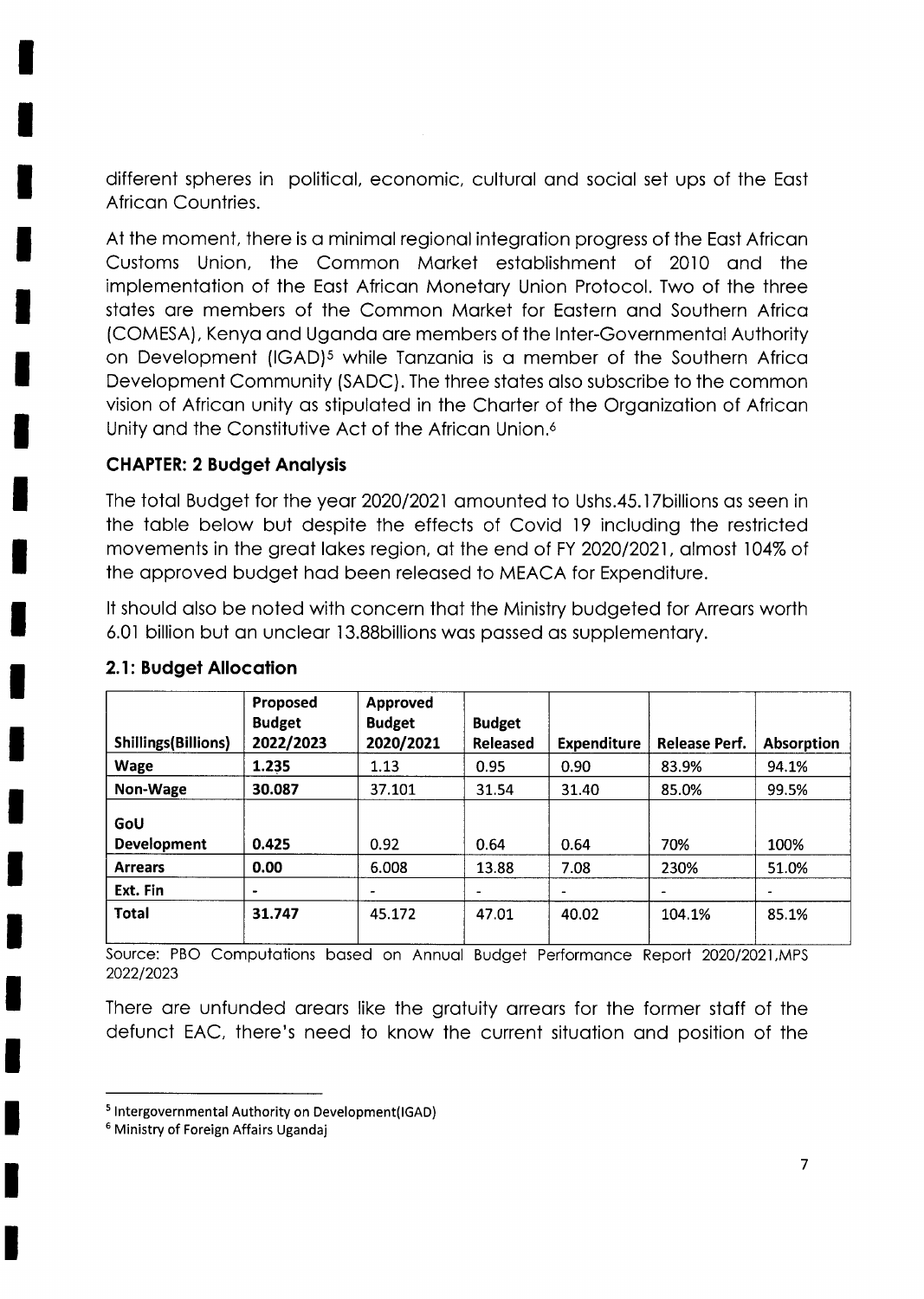different spheres in political, economic, cultural and social set ups of the East African Countries.

At the moment, there is a minimal regional integration progress of the East African Customs Union, the Common Market establishment of 2010 and the implementation of the East African Monetary Union Protocol. Two of the three states are members of the Common Market for Eastern and Southern Africa (COMESA), Kenya and Uganda are members of the Inter-Governmental Authority on Development (IGAD)<sup>5</sup> while Tanzania is a member of the Southern Africa Development Community (SADC). The three states also subscribe to the common vision of African unity as stipulated in the Charter of the Organization of African Unity and the Constitutive Act of the African Union.<sup>6</sup>

### **CHAPTER: 2 Budget Analysis**

The total Budget for the year 2020/2021 amounted to Ushs.45.17 billions as seen in the table below but despite the effects of Covid 19 including the restricted movements in the great lakes region, at the end of FY 2020/2021, almost 104% of the approved budget had been released to MEACA for Expenditure.

It should also be noted with concern that the Ministry budgeted for Arrears worth 6.01 billion but an unclear 13.88 billions was passed as supplementary.

| <b>Shillings(Billions)</b> | Proposed<br><b>Budget</b><br>2022/2023 | Approved<br><b>Budget</b><br>2020/2021 | <b>Budget</b><br>Released | <b>Expenditure</b> | Release Perf.  | <b>Absorption</b> |
|----------------------------|----------------------------------------|----------------------------------------|---------------------------|--------------------|----------------|-------------------|
| <b>Wage</b>                | 1.235                                  | 1.13                                   | 0.95                      | 0.90               | 83.9%          | 94.1%             |
| Non-Wage                   | 30.087                                 | 37.101                                 | 31.54                     | 31.40              | 85.0%          | 99.5%             |
| GoU<br><b>Development</b>  | 0.425                                  | 0.92                                   | 0.64                      | 0.64               | 70%            | 100%              |
| <b>Arrears</b>             | 0.00                                   | 6.008                                  | 13.88                     | 7.08               | 230%           | 51.0%             |
| Ext. Fin                   | $\blacksquare$                         | ٠                                      | $\blacksquare$            |                    | $\blacksquare$ | $\blacksquare$    |
| <b>Total</b>               | 31.747                                 | 45.172                                 | 47.01                     | 40.02              | 104.1%         | 85.1%             |

### 2.1: Budget Allocation

Source: PBO Computations based on Annual Budget Performance Report 2020/2021, MPS 2022/2023

There are unfunded arears like the aratuity arrears for the former staff of the defunct EAC, there's need to know the current situation and position of the

<sup>&</sup>lt;sup>5</sup> Intergovernmental Authority on Development(IGAD)

<sup>&</sup>lt;sup>6</sup> Ministry of Foreign Affairs Ugandaj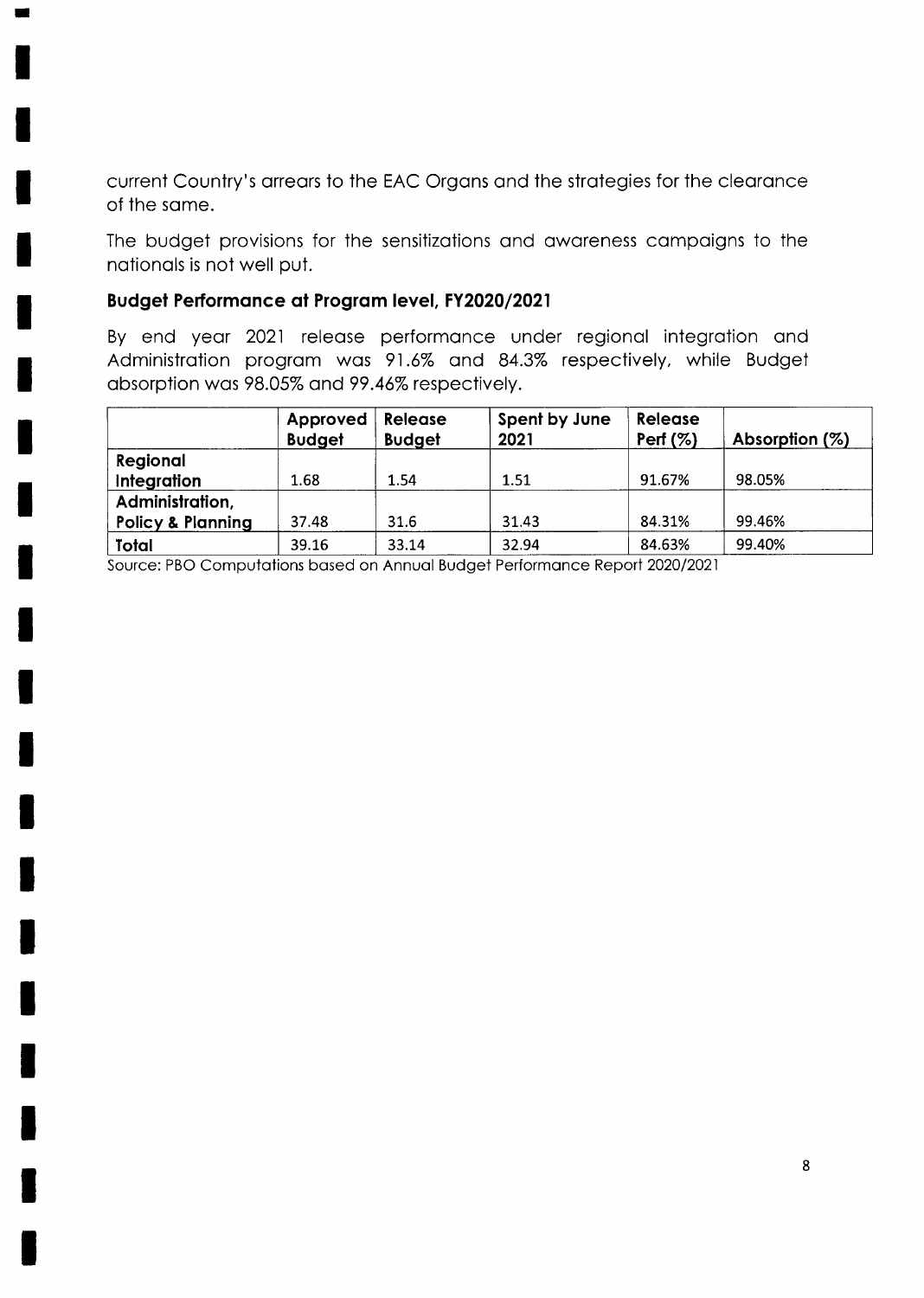current Country's arrears to the EAC Organs and the strategies for the clearance of the same.

The budget provisions for the sensitizations and awareness campaigns to the nationals is not well put.

### Budget Performance at Program level, FY2020/2021

By end year 2021 release performance under regional integration and Administration program was 91.6% and 84.3% respectively, while Budget absorption was 98.05% and 99.46% respectively.

|                              | Approved<br><b>Budget</b> | <b>Release</b><br><b>Budget</b> | Spent by June<br>2021 | <b>Release</b><br>Perf $(%)$ | Absorption (%) |
|------------------------------|---------------------------|---------------------------------|-----------------------|------------------------------|----------------|
| Regional                     |                           |                                 |                       |                              |                |
| Integration                  | 1.68                      | 1.54                            | 1.51                  | 91.67%                       | 98.05%         |
| Administration,              |                           |                                 |                       |                              |                |
| <b>Policy &amp; Planning</b> | 37.48                     | 31.6                            | 31.43                 | 84.31%                       | 99.46%         |
| Total                        | 39.16                     | 33.14                           | 32.94                 | 84.63%                       | 99.40%         |

Source: PBO Computations based on Annual Budget Performance Report 2020/2021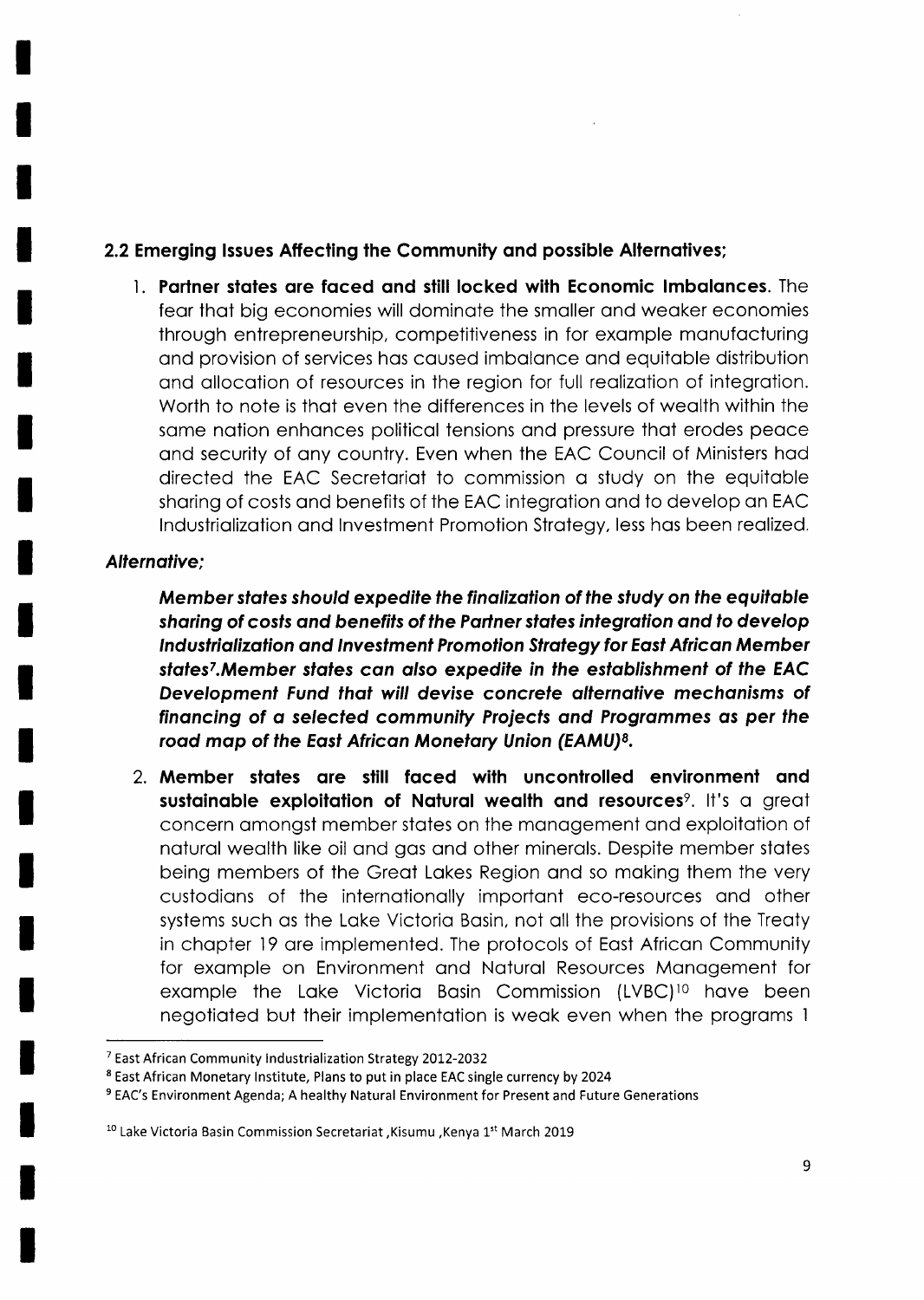## 2.2 Emerging Issues Affecting the Community and possible Alternatives;

1. Partner states are faced and still locked with Economic Imbalances. The fear that big economies will dominate the smaller and weaker economies through entrepreneurship, competitiveness in for example manufacturing and provision of services has caused imbalance and equitable distribution and allocation of resources in the region for full realization of integration. Worth to note is that even the differences in the levels of wealth within the same nation enhances political tensions and pressure that erodes peace and security of any country. Even when the EAC Council of Ministers had directed the EAC Secretariat to commission a study on the equitable sharing of costs and benefits of the EAC integration and to develop an EAC Industrialization and Investment Promotion Strategy, less has been realized.

### Alternative:

Member states should expedite the finalization of the study on the equitable sharing of costs and benefits of the Partner states integration and to develop Industrialization and Investment Promotion Strategy for East African Member states<sup>7</sup>. Member states can also expedite in the establishment of the EAC Development Fund that will devise concrete alternative mechanisms of financing of a selected community Projects and Programmes as per the road map of the East African Monetary Union (EAMU)<sup>8</sup>.

2. Member states are still faced with uncontrolled environment and sustainable exploitation of Natural wealth and resources<sup>9</sup>. It's a great concern amongst member states on the management and exploitation of natural wealth like oil and gas and other minerals. Despite member states being members of the Great Lakes Region and so making them the very custodians of the internationally important eco-resources and other systems such as the Lake Victoria Basin, not all the provisions of the Treaty in chapter 19 are implemented. The protocols of East African Community for example on Environment and Natural Resources Management for example the Lake Victoria Basin Commission (LVBC)<sup>10</sup> have been negotiated but their implementation is weak even when the programs 1

<sup>&</sup>lt;sup>7</sup> East African Community Industrialization Strategy 2012-2032

<sup>&</sup>lt;sup>8</sup> East African Monetary Institute, Plans to put in place EAC single currency by 2024

<sup>&</sup>lt;sup>9</sup> EAC's Environment Agenda; A healthy Natural Environment for Present and Future Generations

<sup>&</sup>lt;sup>10</sup> Lake Victoria Basin Commission Secretariat , Kisumu , Kenya 1<sup>st</sup> March 2019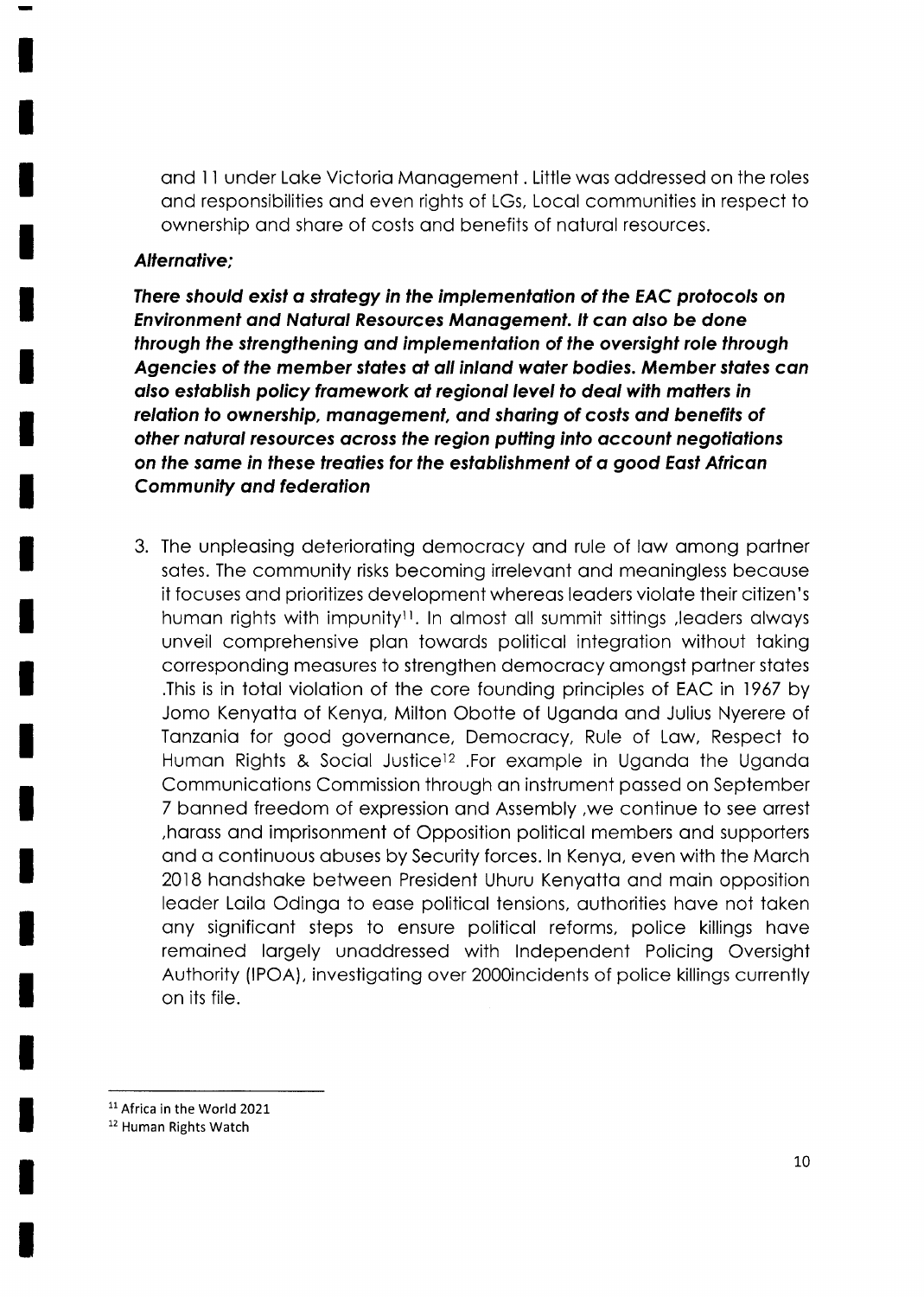and 11 under Lake Victoria Management . Little was addressed on the roles and responsibilities and even rights of LGs, Local communities in respect to ownership and share of costs and benefits of natural resources.

### **Alternative:**

There should exist a strategy in the implementation of the EAC protocols on **Environment and Natural Resources Management. It can also be done** through the strengthening and implementation of the oversight role through Agencies of the member states at all inland water bodies. Member states can also establish policy framework at regional level to deal with matters in relation to ownership, management, and sharing of costs and benefits of other natural resources across the region putting into account negotiations on the same in these treaties for the establishment of a good East African **Community and federation** 

3. The unpleasing deteriorating democracy and rule of law among partner sates. The community risks becoming irrelevant and meaningless because it focuses and prioritizes development whereas leaders violate their citizen's human rights with impunity<sup>11</sup>. In almost all summit sittings , leaders always unveil comprehensive plan towards political integration without taking corresponding measures to strengthen democracy amongst partner states This is in total violation of the core founding principles of EAC in 1967 by Jomo Kenyatta of Kenya, Milton Obotte of Uganda and Julius Nyerere of Tanzania for good governance, Democracy, Rule of Law, Respect to Human Rights & Social Justice<sup>12</sup> .For example in Uganda the Uganda Communications Commission through an instrument passed on September 7 banned freedom of expression and Assembly, we continue to see arrest harass and imprisonment of Opposition political members and supporters and a continuous abuses by Security forces. In Kenya, even with the March 2018 handshake between President Uhuru Kenyatta and main opposition leader Laila Odinga to ease political tensions, authorities have not taken any significant steps to ensure political reforms, police killings have remained largely unaddressed with Independent Policing Oversight Authority (IPOA), investigating over 2000incidents of police killings currently on its file.

<sup>11</sup> Africa in the World 2021

<sup>12</sup> Human Rights Watch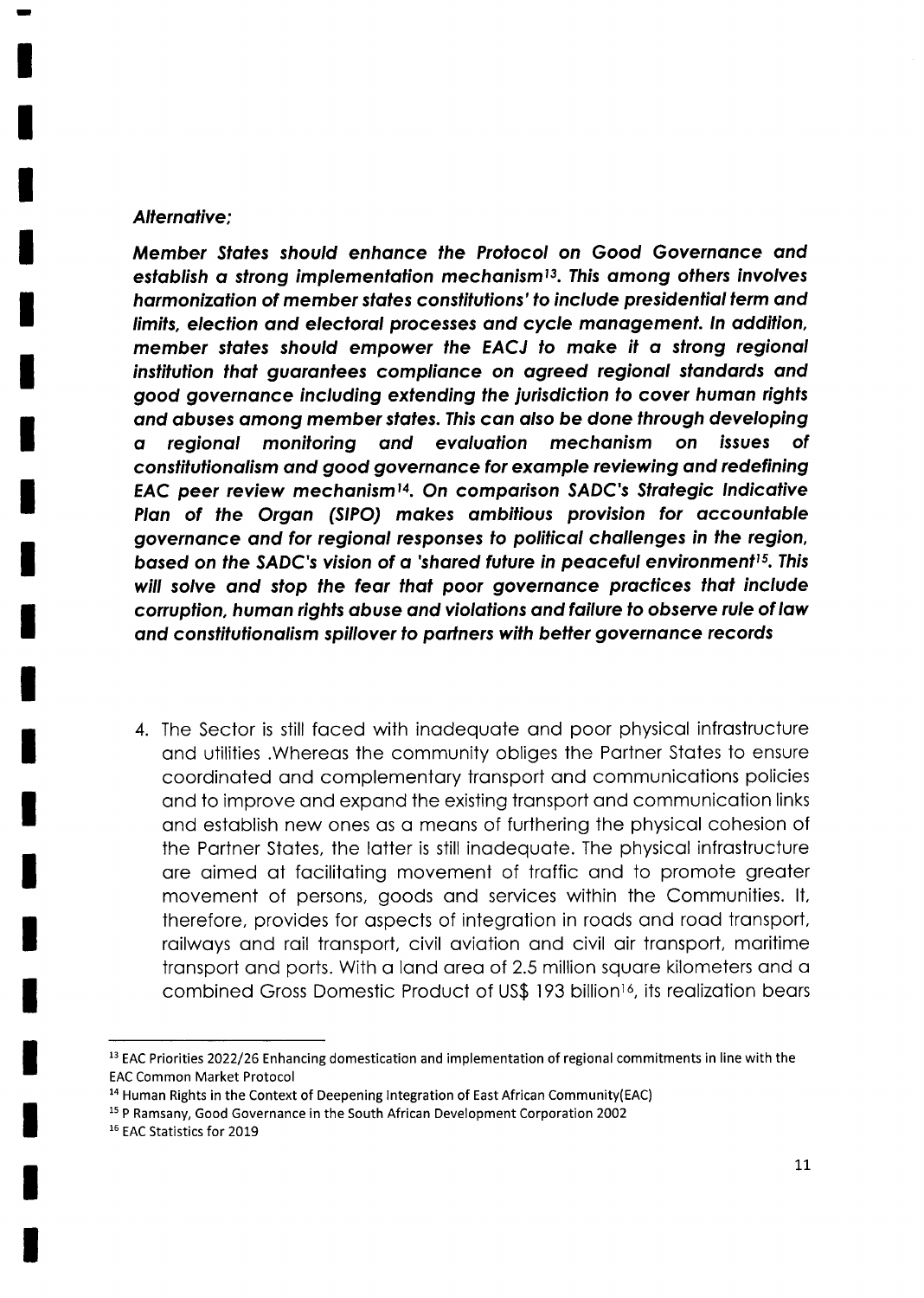#### Alternative:

Member States should enhance the Protocol on Good Governance and establish a strong implementation mechanism<sup>13</sup>. This among others involves harmonization of member states constitutions' to include presidential term and limits, elecfion ond electorol processes ond cycle monogement. ln oddilion, member states should empower the EACJ to make it a strong regional institution that guarantees compliance on agreed regional standards and good governance including extending the jurisdiction to cover human rights and abuses among member states. This can also be done through developing o regionol monitoring ond evqluotion mechonism on issues of constitutionalism and good governance for example reviewing and redefining EAC peer review mechanism<sup>14</sup>. On comparison SADC's Strategic Indicative Plan of the Organ (SIPO) makes ambitious provision for accountable goyernonce ond for regionol responses fo polilicol chollenges in fhe region, based on the SADC's vision of a 'shared future in peaceful environment<sup>15</sup>. This will solve and stop the fear that poor governance practices that include corruption, human rights abuse and violations and failure to observe rule of law and constitutionalism spillover to partners with better governance records

4. The Sector is still foced with inodequote ond poor physicol infrostructure ond utilities .Whereos the community obliges the Portner Stotes to ensure coordinoted ond complementory tronsport ond communicotions policies and to improve and expand the existing transport and communication links ond estoblish new ones os o meons of furthering the physicol cohesion of the Portner Stotes, the lotter is still inodequote. The physicol infrostructure are aimed at facilitating movement of traffic and to promote greater movement of persons, goods ond services within the Communities. lt, therefore, provides for ospects of integrotion in roods ond rood tronsport, railways and rail transport, civil aviation and civil air transport, maritime transport and ports. With a land area of 2.5 million square kilometers and a combined Gross Domestic Product of US\$ 193 billion<sup>16</sup>, its realization bears

<sup>&</sup>lt;sup>13</sup> EAC Priorities 2022/26 Enhancing domestication and implementation of regional commitments in line with the EAC Common Market Protocol

<sup>&</sup>lt;sup>14</sup> Human Rights in the Context of Deepening Integration of East African Community(EAC)

<sup>1</sup>s P Ramsany, Good Governance in the South African Development Corporation 2002

<sup>16</sup> EAC Statistics for 2019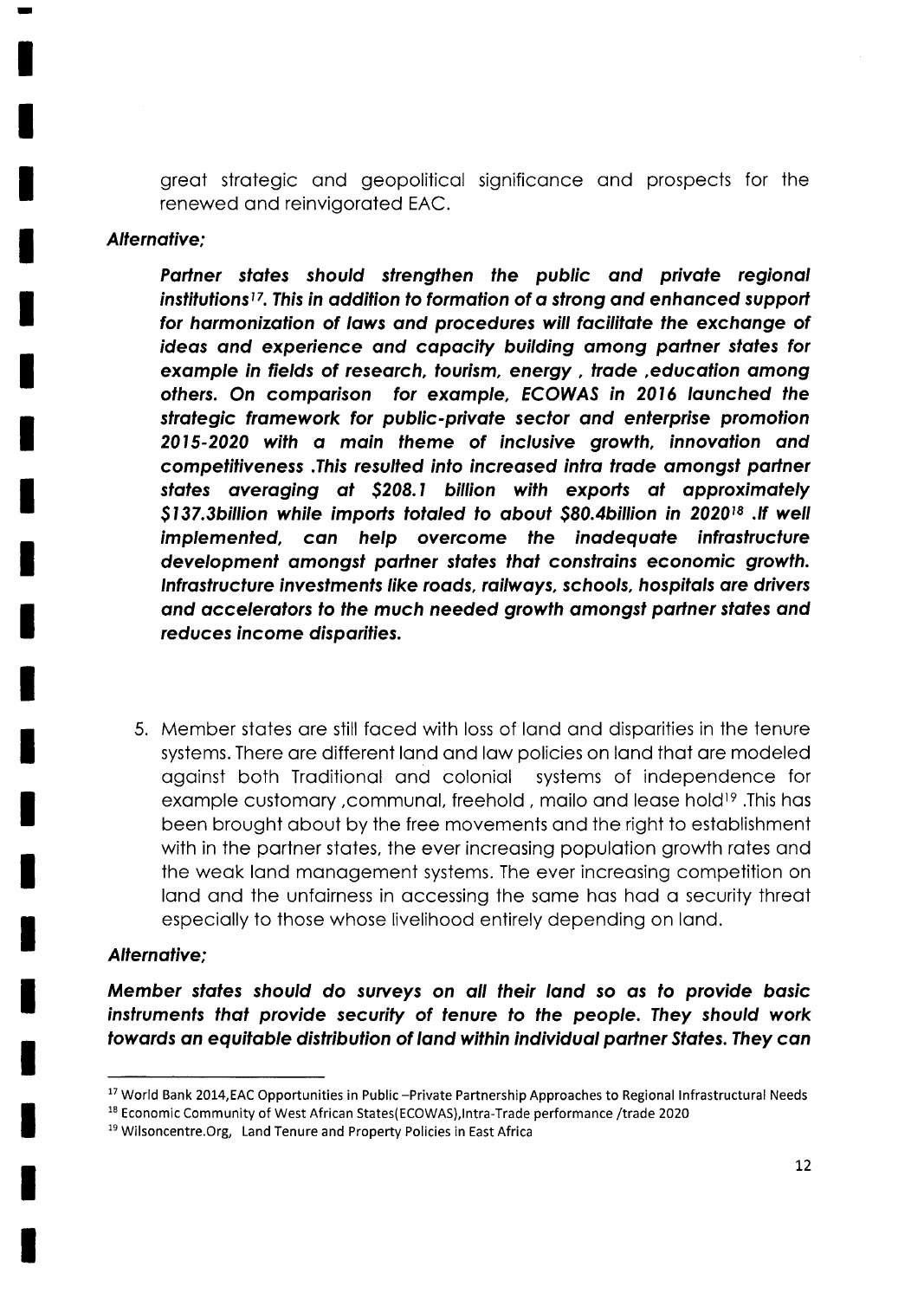great strategic and geopolitical significance and prospects for the renewed and reinvigorated EAC.

#### **Alternative:**

Partner states should strengthen the public and private regional institutions<sup>17</sup>. This in addition to formation of a strong and enhanced support for harmonization of laws and procedures will facilitate the exchange of ideas and experience and capacity building among partner states for example in fields of research, tourism, energy, trade, education among others. On comparison for example, ECOWAS in 2016 launched the strategic framework for public-private sector and enterprise promotion 2015-2020 with a main theme of inclusive growth, innovation and competitiveness. This resulted into increased intra trade amongst partner states averaging at \$208.1 billion with exports at approximately \$137.3billion while imports totaled to about \$80.4billion in 2020<sup>18</sup>. If well implemented, can help overcome the inadequate infrastructure development amongst partner states that constrains economic growth. Infrastructure investments like roads, railways, schools, hospitals are drivers and accelerators to the much needed growth amongst partner states and reduces income disparities.

5. Member states are still faced with loss of land and disparities in the tenure systems. There are different land and law policies on land that are modeled against both Traditional and colonial systems of independence for example customary, communal, freehold, mailo and lease hold<sup>19</sup>. This has been brought about by the free movements and the right to establishment with in the partner states, the ever increasing population growth rates and the weak land management systems. The ever increasing competition on land and the unfairness in accessing the same has had a security threat especially to those whose livelihood entirely depending on land.

#### **Alternative:**

Member states should do surveys on all their land so as to provide basic instruments that provide security of tenure to the people. They should work towards an equitable distribution of land within individual partner States. They can

<sup>18</sup> Economic Community of West African States(ECOWAS), Intra-Trade performance /trade 2020

<sup>&</sup>lt;sup>17</sup> World Bank 2014, EAC Opportunities in Public -Private Partnership Approaches to Regional Infrastructural Needs

<sup>&</sup>lt;sup>19</sup> Wilsoncentre. Org, Land Tenure and Property Policies in East Africa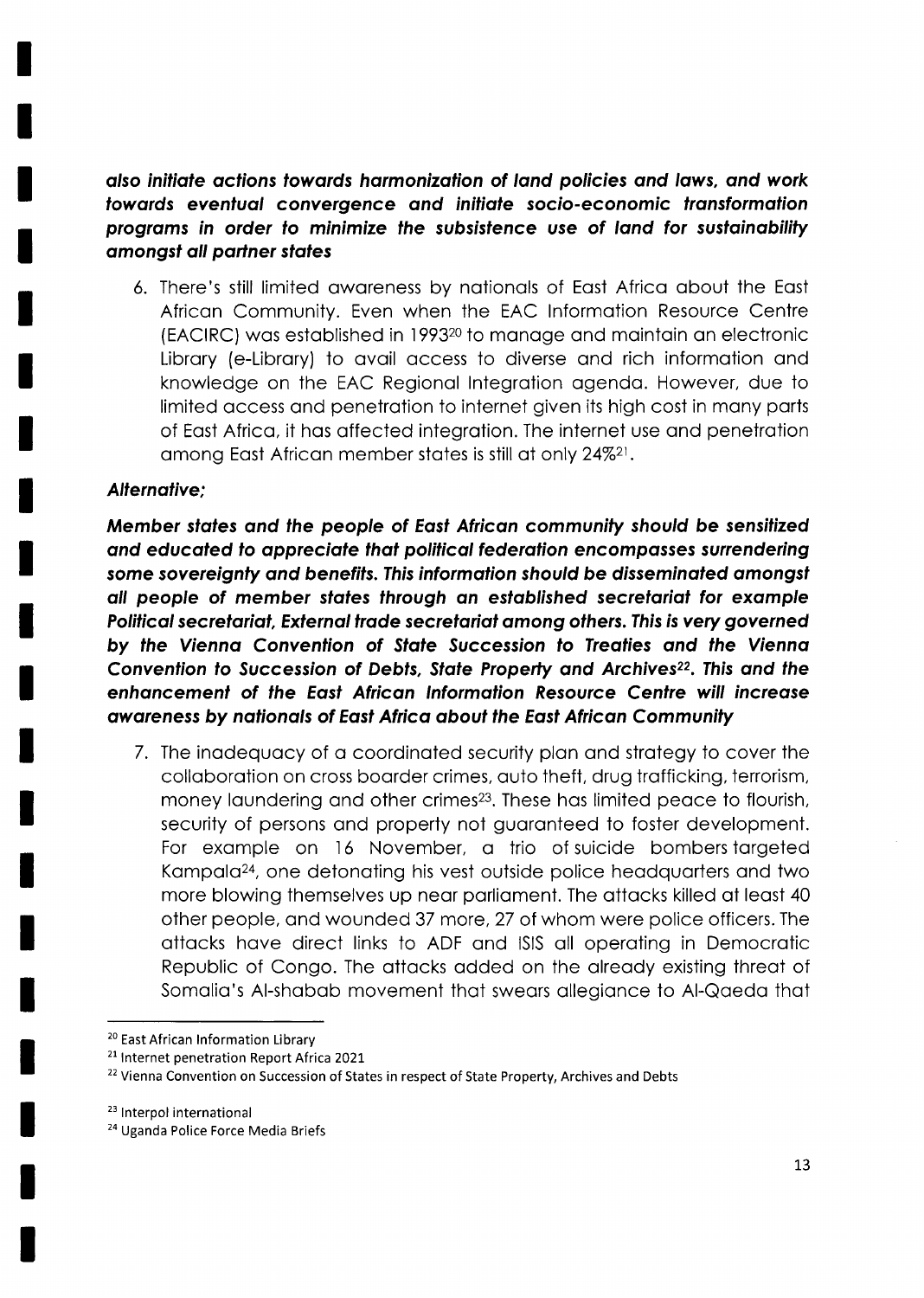also initiate actions towards harmonization of land policies and laws, and work towards eventual convergence and initiate socio-economic transformation programs in order to minimize the subsistence use of land for sustainability amongst all partner states

6. There's still limited awareness by nationals of East Africa about the East African Community. Even when the EAC Information Resource Centre (EACIRC) was established in 1993<sup>20</sup> to manage and maintain an electronic Library (e-Library) to avail access to diverse and rich information and knowledge on the EAC Regional Integration agenda. However, due to limited access and penetration to internet given its high cost in many parts of East Africa, it has affected integration. The internet use and penetration among East African member states is still at only 24%<sup>21</sup>.

#### Alternative:

Member states and the people of East African community should be sensitized and educated to appreciate that political federation encompasses surrendering some sovereignty and benefits. This information should be disseminated amongst all people of member states through an established secretariat for example Political secretariat, External trade secretariat among others. This is very governed by the Vienna Convention of State Succession to Treaties and the Vienna Convention to Succession of Debts, State Property and Archives<sup>22</sup>. This and the enhancement of the East African Information Resource Centre will increase awareness by nationals of East Africa about the East African Community

7. The inadequacy of a coordinated security plan and strategy to cover the collaboration on cross boarder crimes, auto theft, drug trafficking, terrorism, money laundering and other crimes<sup>23</sup>. These has limited peace to flourish, security of persons and property not guaranteed to foster development. For example on 16 November, a trio of suicide bombers targeted Kampala<sup>24</sup>, one detonating his vest outside police headquarters and two more blowing themselves up near parliament. The attacks killed at least 40 other people, and wounded 37 more, 27 of whom were police officers. The attacks have direct links to ADF and ISIS all operating in Democratic Republic of Congo. The attacks added on the already existing threat of Somalia's Al-shabab movement that swears allegiance to Al-Qaeda that

<sup>&</sup>lt;sup>20</sup> East African Information Library

<sup>&</sup>lt;sup>21</sup> Internet penetration Report Africa 2021

<sup>&</sup>lt;sup>22</sup> Vienna Convention on Succession of States in respect of State Property, Archives and Debts

<sup>&</sup>lt;sup>23</sup> Interpol international

<sup>&</sup>lt;sup>24</sup> Uganda Police Force Media Briefs